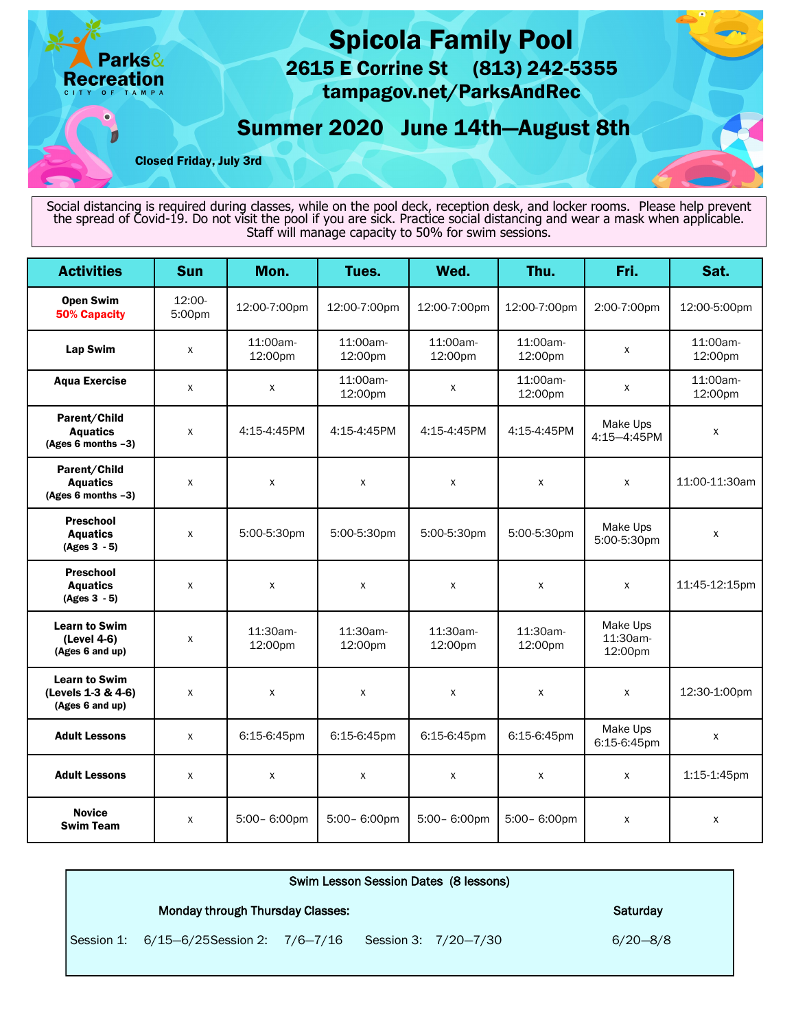

Social distancing is required during classes, while on the pool deck, reception desk, and locker rooms. Please help prevent the spread of Covid-19. Do not visit the pool if you are sick. Practice social distancing and wear a mask when applicable. Staff will manage capacity to 50% for swim sessions.

| <b>Activities</b>                                             | <b>Sun</b>       | Mon.                | Tues.               | Wed.                | Thu.                | Fri.                            | Sat.                |
|---------------------------------------------------------------|------------------|---------------------|---------------------|---------------------|---------------------|---------------------------------|---------------------|
| <b>Open Swim</b><br><b>50% Capacity</b>                       | 12:00-<br>5:00pm | 12:00-7:00pm        | 12:00-7:00pm        | 12:00-7:00pm        | 12:00-7:00pm        | 2:00-7:00pm                     | 12:00-5:00pm        |
| <b>Lap Swim</b>                                               | X                | 11:00am-<br>12:00pm | 11:00am-<br>12:00pm | 11:00am-<br>12:00pm | 11:00am-<br>12:00pm | X                               | 11:00am-<br>12:00pm |
| <b>Aqua Exercise</b>                                          | X                | X                   | 11:00am-<br>12:00pm | X                   | 11:00am-<br>12:00pm | X                               | 11:00am-<br>12:00pm |
| Parent/Child<br><b>Aquatics</b><br>(Ages 6 months -3)         | $\mathsf{x}$     | 4:15-4:45PM         | 4:15-4:45PM         | 4:15-4:45PM         | 4:15-4:45PM         | Make Ups<br>4:15-4:45PM         | X                   |
| Parent/Child<br><b>Aquatics</b><br>(Ages 6 months -3)         | X                | X                   | X                   | X                   | X                   | X                               | 11:00-11:30am       |
| <b>Preschool</b><br><b>Aquatics</b><br>$(Ages 3 - 5)$         | $\mathsf{X}$     | 5:00-5:30pm         | 5:00-5:30pm         | 5:00-5:30pm         | 5:00-5:30pm         | Make Ups<br>5:00-5:30pm         | X                   |
| <b>Preschool</b><br><b>Aquatics</b><br>$(Ages 3 - 5)$         | X                | X                   | $\pmb{\mathsf{X}}$  | X                   | $\pmb{\mathsf{X}}$  | X                               | 11:45-12:15pm       |
| <b>Learn to Swim</b><br>(Level 4-6)<br>(Ages 6 and up)        | X                | 11:30am-<br>12:00pm | 11:30am-<br>12:00pm | 11:30am-<br>12:00pm | 11:30am-<br>12:00pm | Make Ups<br>11:30am-<br>12:00pm |                     |
| <b>Learn to Swim</b><br>(Levels 1-3 & 4-6)<br>(Ages 6 and up) | X                | X                   | X                   | X                   | X                   | X                               | 12:30-1:00pm        |
| <b>Adult Lessons</b>                                          | $\mathsf{x}$     | 6:15-6:45pm         | 6:15-6:45pm         | 6:15-6:45pm         | 6:15-6:45pm         | Make Ups<br>6:15-6:45pm         | X                   |
| <b>Adult Lessons</b>                                          | $\mathsf{x}$     | X                   | X                   | X                   | X                   | $\mathsf{x}$                    | 1:15-1:45pm         |
| <b>Novice</b><br><b>Swim Team</b>                             | X                | 5:00-6:00pm         | 5:00-6:00pm         | 5:00-6:00pm         | 5:00-6:00pm         | X                               | X                   |

| Swim Lesson Session Dates (8 lessons) |                                         |  |  |                      |  |              |  |
|---------------------------------------|-----------------------------------------|--|--|----------------------|--|--------------|--|
| Monday through Thursday Classes:      |                                         |  |  |                      |  | Saturday     |  |
|                                       | Session 1: 6/15-6/25Session 2: 7/6-7/16 |  |  | Session 3: 7/20-7/30 |  | $6/20 - 8/8$ |  |